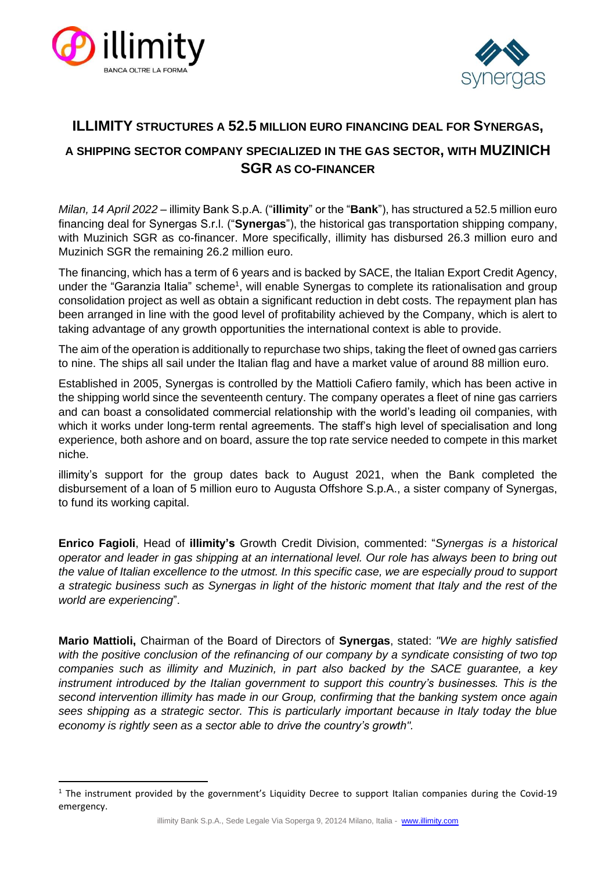



# **ILLIMITY STRUCTURES A 52.5 MILLION EURO FINANCING DEAL FOR SYNERGAS, A SHIPPING SECTOR COMPANY SPECIALIZED IN THE GAS SECTOR, WITH MUZINICH SGR AS CO-FINANCER**

*Milan, 14 April 2022* – illimity Bank S.p.A. ("**illimity**" or the "**Bank**"), has structured a 52.5 million euro financing deal for Synergas S.r.l. ("**Synergas**"), the historical gas transportation shipping company, with Muzinich SGR as co-financer. More specifically, illimity has disbursed 26.3 million euro and Muzinich SGR the remaining 26.2 million euro.

The financing, which has a term of 6 years and is backed by SACE, the Italian Export Credit Agency, under the "Garanzia Italia" scheme<sup>1</sup>, will enable Synergas to complete its rationalisation and group consolidation project as well as obtain a significant reduction in debt costs. The repayment plan has been arranged in line with the good level of profitability achieved by the Company, which is alert to taking advantage of any growth opportunities the international context is able to provide.

The aim of the operation is additionally to repurchase two ships, taking the fleet of owned gas carriers to nine. The ships all sail under the Italian flag and have a market value of around 88 million euro.

Established in 2005, Synergas is controlled by the Mattioli Cafiero family, which has been active in the shipping world since the seventeenth century. The company operates a fleet of nine gas carriers and can boast a consolidated commercial relationship with the world's leading oil companies, with which it works under long-term rental agreements. The staff's high level of specialisation and long experience, both ashore and on board, assure the top rate service needed to compete in this market niche.

illimity's support for the group dates back to August 2021, when the Bank completed the disbursement of a loan of 5 million euro to Augusta Offshore S.p.A., a sister company of Synergas, to fund its working capital.

**Enrico Fagioli**, Head of **illimity's** Growth Credit Division, commented: "*Synergas is a historical operator and leader in gas shipping at an international level. Our role has always been to bring out the value of Italian excellence to the utmost. In this specific case, we are especially proud to support a strategic business such as Synergas in light of the historic moment that Italy and the rest of the world are experiencing*".

**Mario Mattioli,** Chairman of the Board of Directors of **Synergas**, stated: *"We are highly satisfied*  with the positive conclusion of the refinancing of our company by a syndicate consisting of two top *companies such as illimity and Muzinich, in part also backed by the SACE guarantee, a key instrument introduced by the Italian government to support this country's businesses. This is the second intervention illimity has made in our Group, confirming that the banking system once again sees shipping as a strategic sector. This is particularly important because in Italy today the blue economy is rightly seen as a sector able to drive the country's growth".*

 $1$  The instrument provided by the government's Liquidity Decree to support Italian companies during the Covid-19 emergency.